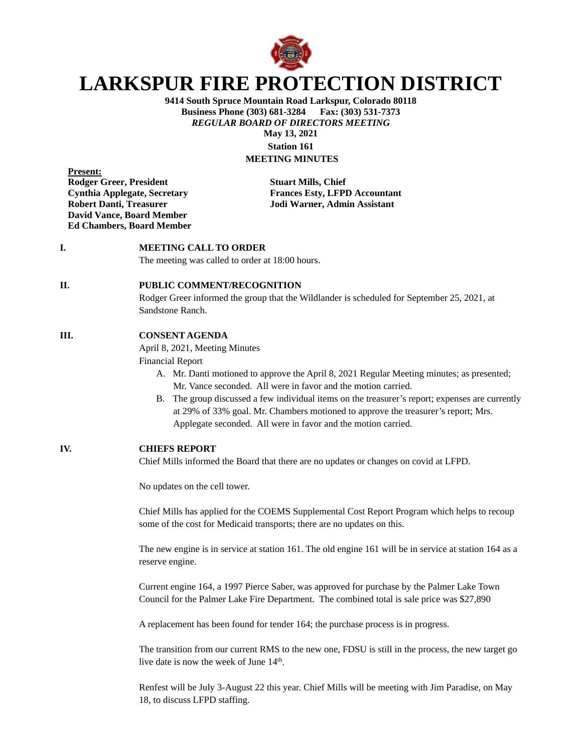

# **LARKSPUR FIRE PROTECTION DISTRICT**

**9414 South Spruce Mountain Road Larkspur, Colorado 80118 Business Phone (303) 681-3284 Fax: (303) 531-7373** *REGULAR BOARD OF DIRECTORS MEETING* **May 13, 2021**

**Station 161 MEETING MINUTES**

**Present: Rodger Greer, President Stuart Mills, Chief David Vance, Board Member Ed Chambers, Board Member**

**Cynthia Applegate, Secretary Frances Esty, LFPD Accountant Robert Danti, Treasurer Jodi Warner, Admin Assistant**

# **I. MEETING CALL TO ORDER**

The meeting was called to order at 18:00 hours.

# **II. PUBLIC COMMENT/RECOGNITION**

Rodger Greer informed the group that the Wildlander is scheduled for September 25, 2021, at Sandstone Ranch.

## **III. CONSENT AGENDA**

April 8, 2021, Meeting Minutes

Financial Report

- A. Mr. Danti motioned to approve the April 8, 2021 Regular Meeting minutes; as presented; Mr. Vance seconded. All were in favor and the motion carried.
- B. The group discussed a few individual items on the treasurer's report; expenses are currently at 29% of 33% goal. Mr. Chambers motioned to approve the treasurer's report; Mrs. Applegate seconded. All were in favor and the motion carried.

### **IV. CHIEFS REPORT**

Chief Mills informed the Board that there are no updates or changes on covid at LFPD.

No updates on the cell tower.

Chief Mills has applied for the COEMS Supplemental Cost Report Program which helps to recoup some of the cost for Medicaid transports; there are no updates on this.

The new engine is in service at station 161. The old engine 161 will be in service at station 164 as a reserve engine.

Current engine 164, a 1997 Pierce Saber, was approved for purchase by the Palmer Lake Town Council for the Palmer Lake Fire Department. The combined total is sale price was \$27,890

A replacement has been found for tender 164; the purchase process is in progress.

The transition from our current RMS to the new one, FDSU is still in the process, the new target go live date is now the week of June  $14<sup>th</sup>$ .

Renfest will be July 3-August 22 this year. Chief Mills will be meeting with Jim Paradise, on May 18, to discuss LFPD staffing.